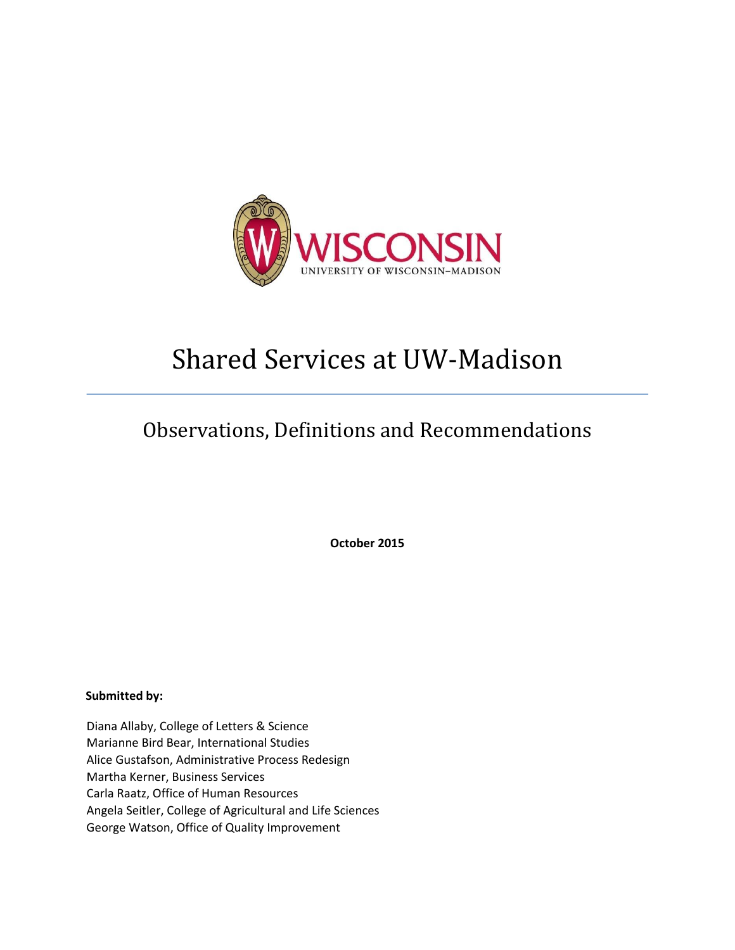

# Shared Services at UW-Madison

## Observations, Definitions and Recommendations

**October 2015** 

**Submitted by:** 

Diana Allaby, College of Letters & Science Marianne Bird Bear, International Studies Alice Gustafson, Administrative Process Redesign Martha Kerner, Business Services Carla Raatz, Office of Human Resources Angela Seitler, College of Agricultural and Life Sciences George Watson, Office of Quality Improvement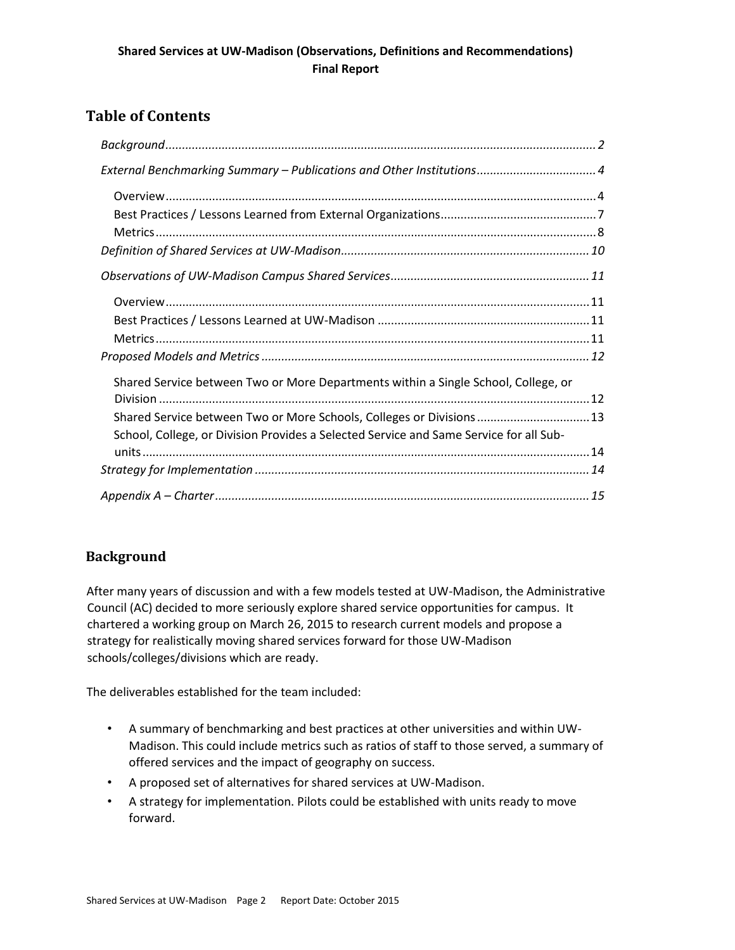## **Table of Contents**

| External Benchmarking Summary – Publications and Other Institutions 4                  |
|----------------------------------------------------------------------------------------|
|                                                                                        |
|                                                                                        |
|                                                                                        |
|                                                                                        |
|                                                                                        |
|                                                                                        |
|                                                                                        |
|                                                                                        |
|                                                                                        |
| Shared Service between Two or More Departments within a Single School, College, or     |
|                                                                                        |
| Shared Service between Two or More Schools, Colleges or Divisions  13                  |
| School, College, or Division Provides a Selected Service and Same Service for all Sub- |
|                                                                                        |
|                                                                                        |
|                                                                                        |

## <span id="page-1-0"></span>**Background**

After many years of discussion and with a few models tested at UW-Madison, the Administrative Council (AC) decided to more seriously explore shared service opportunities for campus. It chartered a working group on March 26, 2015 to research current models and propose a strategy for realistically moving shared services forward for those UW-Madison schools/colleges/divisions which are ready.

The deliverables established for the team included:

- A summary of benchmarking and best practices at other universities and within UW-Madison. This could include metrics such as ratios of staff to those served, a summary of offered services and the impact of geography on success.
- A proposed set of alternatives for shared services at UW-Madison.
- A strategy for implementation. Pilots could be established with units ready to move forward.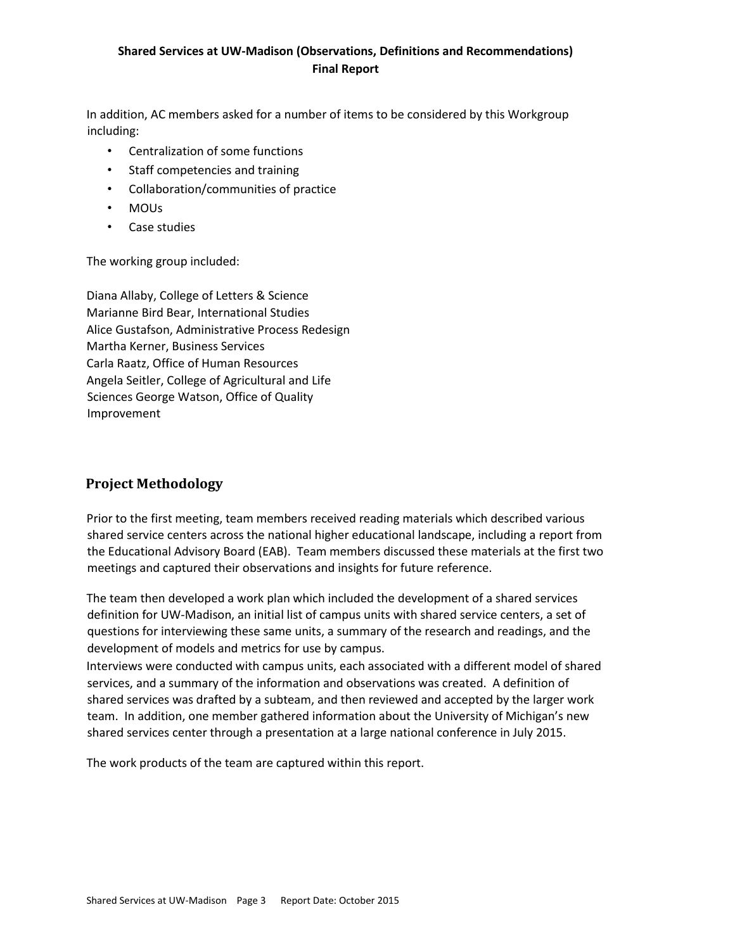In addition, AC members asked for a number of items to be considered by this Workgroup including:

- Centralization of some functions
- Staff competencies and training
- Collaboration/communities of practice
- MOUs
- Case studies

The working group included:

Diana Allaby, College of Letters & Science Marianne Bird Bear, International Studies Alice Gustafson, Administrative Process Redesign Martha Kerner, Business Services Carla Raatz, Office of Human Resources Angela Seitler, College of Agricultural and Life Sciences George Watson, Office of Quality Improvement

## **Project Methodology**

Prior to the first meeting, team members received reading materials which described various shared service centers across the national higher educational landscape, including a report from the Educational Advisory Board (EAB). Team members discussed these materials at the first two meetings and captured their observations and insights for future reference.

The team then developed a work plan which included the development of a shared services definition for UW-Madison, an initial list of campus units with shared service centers, a set of questions for interviewing these same units, a summary of the research and readings, and the development of models and metrics for use by campus.

Interviews were conducted with campus units, each associated with a different model of shared services, and a summary of the information and observations was created. A definition of shared services was drafted by a subteam, and then reviewed and accepted by the larger work team. In addition, one member gathered information about the University of Michigan's new shared services center through a presentation at a large national conference in July 2015.

The work products of the team are captured within this report.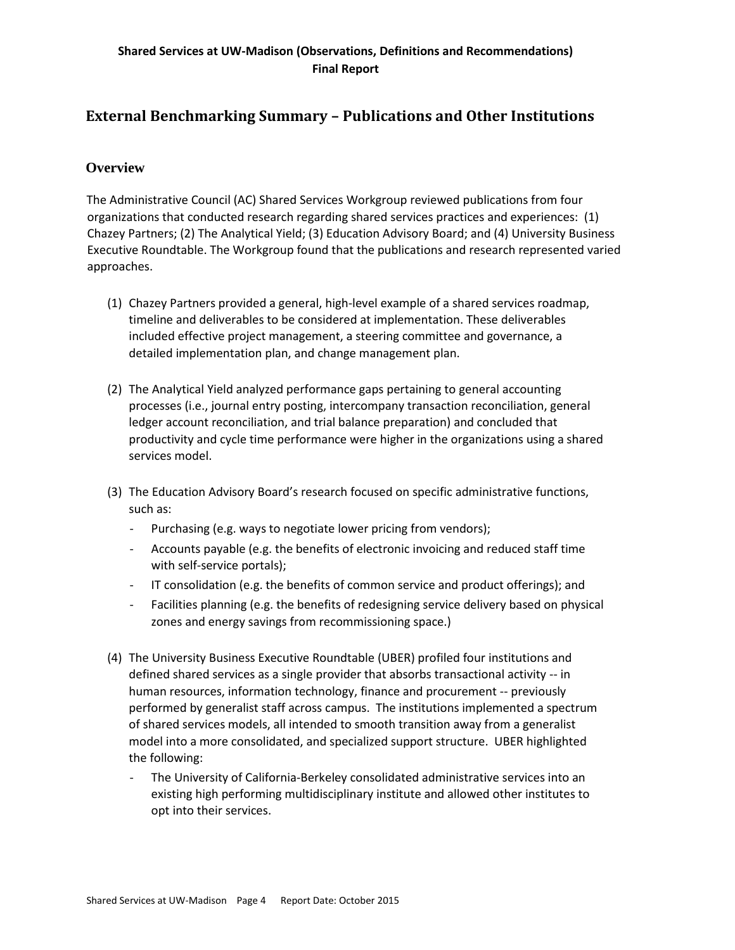## <span id="page-3-0"></span>**External Benchmarking Summary – Publications and Other Institutions**

## <span id="page-3-1"></span>**Overview**

The Administrative Council (AC) Shared Services Workgroup reviewed publications from four organizations that conducted research regarding shared services practices and experiences: (1) Chazey Partners; (2) The Analytical Yield; (3) Education Advisory Board; and (4) University Business Executive Roundtable. The Workgroup found that the publications and research represented varied approaches.

- (1) Chazey Partners provided a general, high-level example of a shared services roadmap, timeline and deliverables to be considered at implementation. These deliverables included effective project management, a steering committee and governance, a detailed implementation plan, and change management plan.
- (2) The Analytical Yield analyzed performance gaps pertaining to general accounting processes (i.e., journal entry posting, intercompany transaction reconciliation, general ledger account reconciliation, and trial balance preparation) and concluded that productivity and cycle time performance were higher in the organizations using a shared services model.
- (3) The Education Advisory Board's research focused on specific administrative functions, such as:
	- Purchasing (e.g. ways to negotiate lower pricing from vendors);
	- Accounts payable (e.g. the benefits of electronic invoicing and reduced staff time with self-service portals);
	- IT consolidation (e.g. the benefits of common service and product offerings); and
	- Facilities planning (e.g. the benefits of redesigning service delivery based on physical zones and energy savings from recommissioning space.)
- (4) The University Business Executive Roundtable (UBER) profiled four institutions and defined shared services as a single provider that absorbs transactional activity -- in human resources, information technology, finance and procurement -- previously performed by generalist staff across campus. The institutions implemented a spectrum of shared services models, all intended to smooth transition away from a generalist model into a more consolidated, and specialized support structure. UBER highlighted the following:
	- The University of California-Berkeley consolidated administrative services into an existing high performing multidisciplinary institute and allowed other institutes to opt into their services.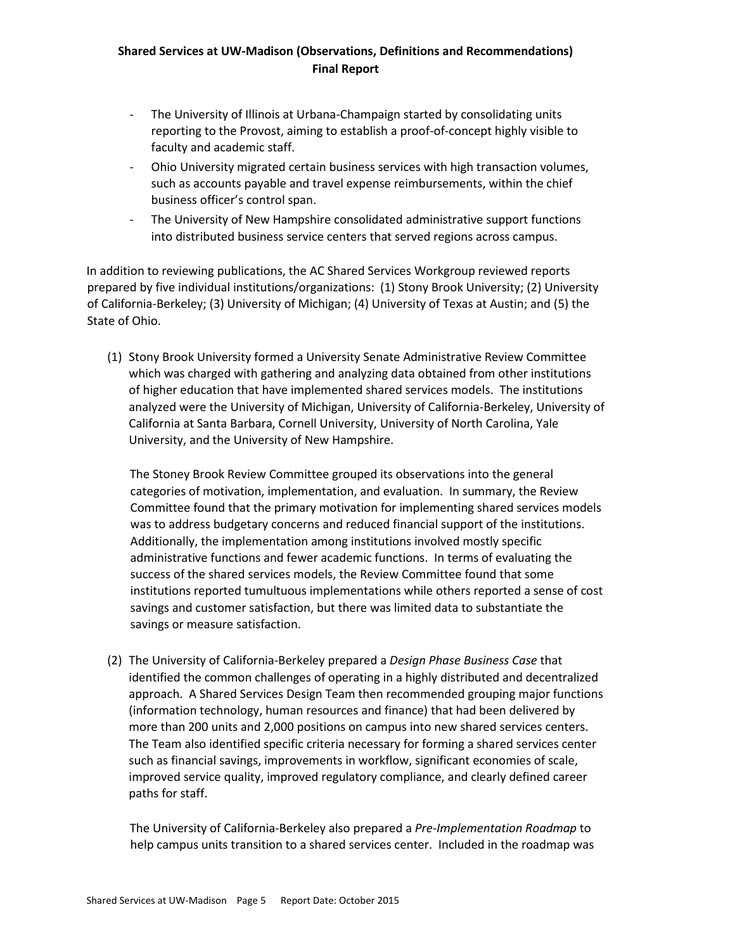- The University of Illinois at Urbana-Champaign started by consolidating units reporting to the Provost, aiming to establish a proof-of-concept highly visible to faculty and academic staff.
- Ohio University migrated certain business services with high transaction volumes, such as accounts payable and travel expense reimbursements, within the chief business officer's control span.
- The University of New Hampshire consolidated administrative support functions into distributed business service centers that served regions across campus.

In addition to reviewing publications, the AC Shared Services Workgroup reviewed reports prepared by five individual institutions/organizations: (1) Stony Brook University; (2) University of California-Berkeley; (3) University of Michigan; (4) University of Texas at Austin; and (5) the State of Ohio.

(1) Stony Brook University formed a University Senate Administrative Review Committee which was charged with gathering and analyzing data obtained from other institutions of higher education that have implemented shared services models. The institutions analyzed were the University of Michigan, University of California-Berkeley, University of California at Santa Barbara, Cornell University, University of North Carolina, Yale University, and the University of New Hampshire.

The Stoney Brook Review Committee grouped its observations into the general categories of motivation, implementation, and evaluation. In summary, the Review Committee found that the primary motivation for implementing shared services models was to address budgetary concerns and reduced financial support of the institutions. Additionally, the implementation among institutions involved mostly specific administrative functions and fewer academic functions. In terms of evaluating the success of the shared services models, the Review Committee found that some institutions reported tumultuous implementations while others reported a sense of cost savings and customer satisfaction, but there was limited data to substantiate the savings or measure satisfaction.

(2) The University of California-Berkeley prepared a *Design Phase Business Case* that identified the common challenges of operating in a highly distributed and decentralized approach. A Shared Services Design Team then recommended grouping major functions (information technology, human resources and finance) that had been delivered by more than 200 units and 2,000 positions on campus into new shared services centers. The Team also identified specific criteria necessary for forming a shared services center such as financial savings, improvements in workflow, significant economies of scale, improved service quality, improved regulatory compliance, and clearly defined career paths for staff.

The University of California-Berkeley also prepared a *Pre-Implementation Roadmap* to help campus units transition to a shared services center. Included in the roadmap was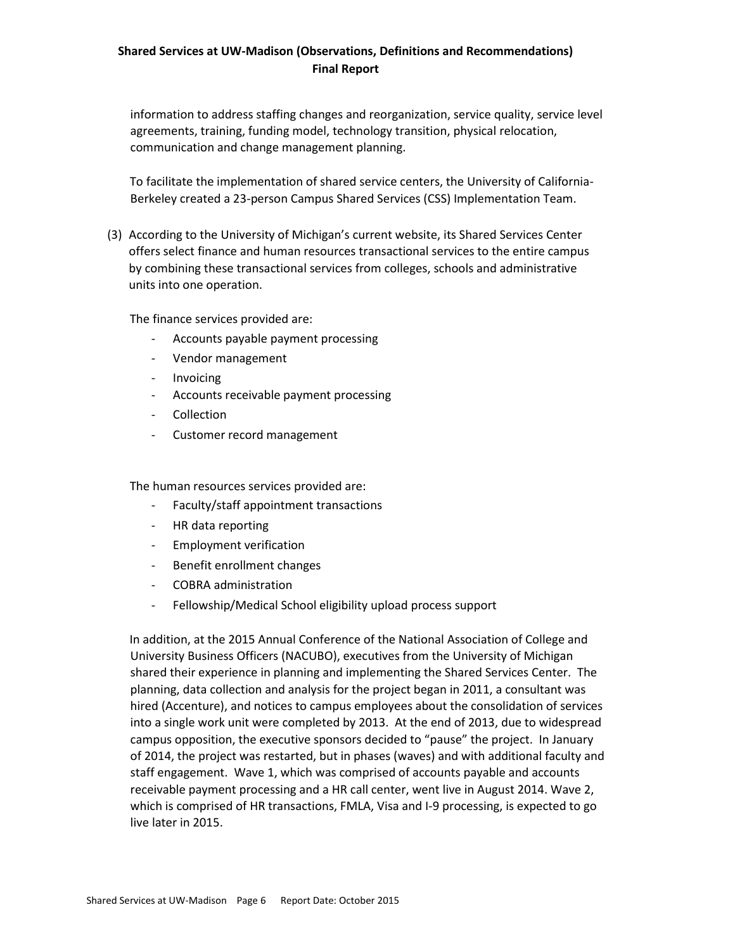information to address staffing changes and reorganization, service quality, service level agreements, training, funding model, technology transition, physical relocation, communication and change management planning.

To facilitate the implementation of shared service centers, the University of California-Berkeley created a 23-person Campus Shared Services (CSS) Implementation Team.

(3) According to the University of Michigan's current website, its Shared Services Center offers select finance and human resources transactional services to the entire campus by combining these transactional services from colleges, schools and administrative units into one operation.

The finance services provided are:

- Accounts payable payment processing
- Vendor management
- Invoicing
- Accounts receivable payment processing
- Collection
- Customer record management

The human resources services provided are:

- Faculty/staff appointment transactions
- HR data reporting
- Employment verification
- Benefit enrollment changes
- COBRA administration
- Fellowship/Medical School eligibility upload process support

In addition, at the 2015 Annual Conference of the National Association of College and University Business Officers (NACUBO), executives from the University of Michigan shared their experience in planning and implementing the Shared Services Center. The planning, data collection and analysis for the project began in 2011, a consultant was hired (Accenture), and notices to campus employees about the consolidation of services into a single work unit were completed by 2013. At the end of 2013, due to widespread campus opposition, the executive sponsors decided to "pause" the project. In January of 2014, the project was restarted, but in phases (waves) and with additional faculty and staff engagement. Wave 1, which was comprised of accounts payable and accounts receivable payment processing and a HR call center, went live in August 2014. Wave 2, which is comprised of HR transactions, FMLA, Visa and I-9 processing, is expected to go live later in 2015.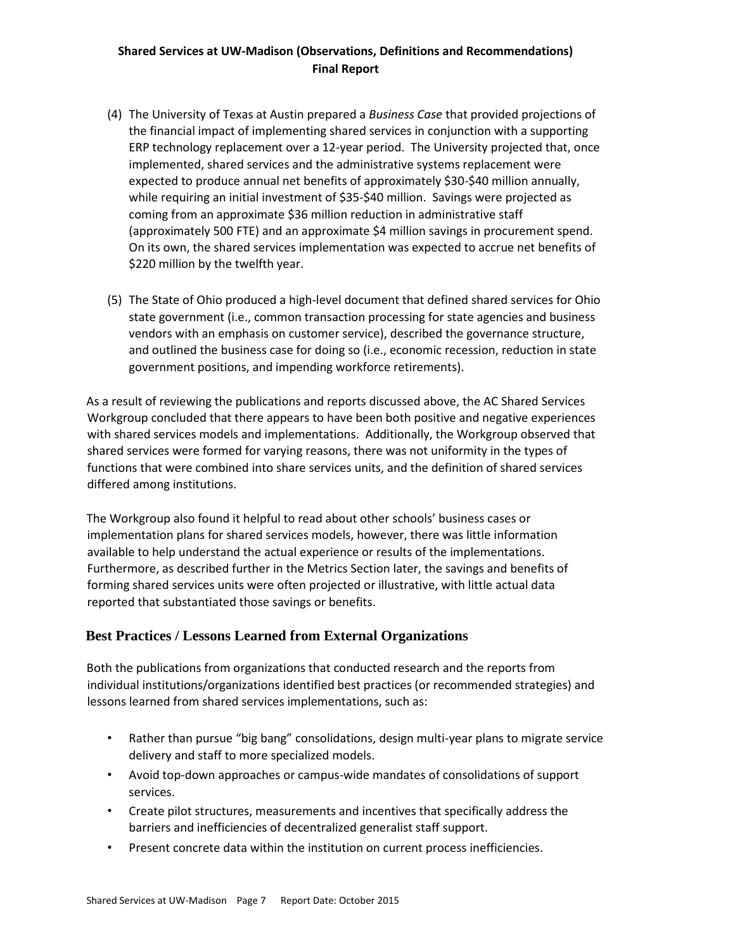- (4) The University of Texas at Austin prepared a *Business Case* that provided projections of the financial impact of implementing shared services in conjunction with a supporting ERP technology replacement over a 12-year period. The University projected that, once implemented, shared services and the administrative systems replacement were expected to produce annual net benefits of approximately \$30-\$40 million annually, while requiring an initial investment of \$35-\$40 million. Savings were projected as coming from an approximate \$36 million reduction in administrative staff (approximately 500 FTE) and an approximate \$4 million savings in procurement spend. On its own, the shared services implementation was expected to accrue net benefits of \$220 million by the twelfth year.
- (5) The State of Ohio produced a high-level document that defined shared services for Ohio state government (i.e., common transaction processing for state agencies and business vendors with an emphasis on customer service), described the governance structure, and outlined the business case for doing so (i.e., economic recession, reduction in state government positions, and impending workforce retirements).

As a result of reviewing the publications and reports discussed above, the AC Shared Services Workgroup concluded that there appears to have been both positive and negative experiences with shared services models and implementations. Additionally, the Workgroup observed that shared services were formed for varying reasons, there was not uniformity in the types of functions that were combined into share services units, and the definition of shared services differed among institutions.

The Workgroup also found it helpful to read about other schools' business cases or implementation plans for shared services models, however, there was little information available to help understand the actual experience or results of the implementations. Furthermore, as described further in the Metrics Section later, the savings and benefits of forming shared services units were often projected or illustrative, with little actual data reported that substantiated those savings or benefits.

## <span id="page-6-0"></span>**Best Practices / Lessons Learned from External Organizations**

Both the publications from organizations that conducted research and the reports from individual institutions/organizations identified best practices (or recommended strategies) and lessons learned from shared services implementations, such as:

- Rather than pursue "big bang" consolidations, design multi-year plans to migrate service delivery and staff to more specialized models.
- Avoid top-down approaches or campus-wide mandates of consolidations of support services.
- Create pilot structures, measurements and incentives that specifically address the barriers and inefficiencies of decentralized generalist staff support.
- Present concrete data within the institution on current process inefficiencies.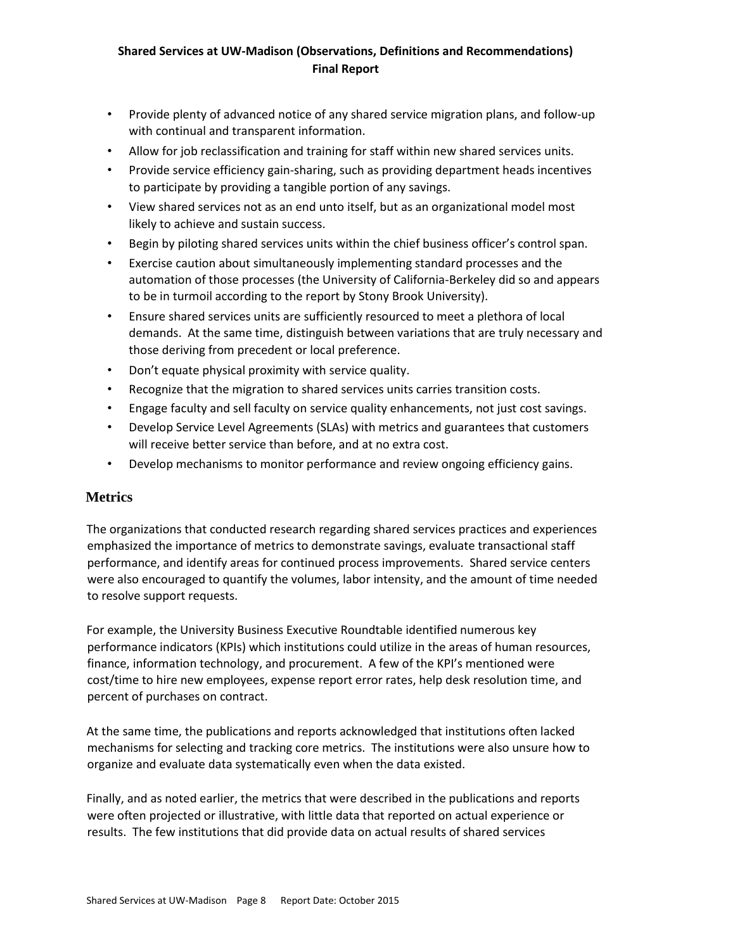- Provide plenty of advanced notice of any shared service migration plans, and follow-up with continual and transparent information.
- Allow for job reclassification and training for staff within new shared services units.
- Provide service efficiency gain-sharing, such as providing department heads incentives to participate by providing a tangible portion of any savings.
- View shared services not as an end unto itself, but as an organizational model most likely to achieve and sustain success.
- Begin by piloting shared services units within the chief business officer's control span.
- Exercise caution about simultaneously implementing standard processes and the automation of those processes (the University of California-Berkeley did so and appears to be in turmoil according to the report by Stony Brook University).
- Ensure shared services units are sufficiently resourced to meet a plethora of local demands. At the same time, distinguish between variations that are truly necessary and those deriving from precedent or local preference.
- Don't equate physical proximity with service quality.
- Recognize that the migration to shared services units carries transition costs.
- Engage faculty and sell faculty on service quality enhancements, not just cost savings.
- Develop Service Level Agreements (SLAs) with metrics and guarantees that customers will receive better service than before, and at no extra cost.
- Develop mechanisms to monitor performance and review ongoing efficiency gains.

## <span id="page-7-0"></span>**Metrics**

The organizations that conducted research regarding shared services practices and experiences emphasized the importance of metrics to demonstrate savings, evaluate transactional staff performance, and identify areas for continued process improvements. Shared service centers were also encouraged to quantify the volumes, labor intensity, and the amount of time needed to resolve support requests.

For example, the University Business Executive Roundtable identified numerous key performance indicators (KPIs) which institutions could utilize in the areas of human resources, finance, information technology, and procurement. A few of the KPI's mentioned were cost/time to hire new employees, expense report error rates, help desk resolution time, and percent of purchases on contract.

At the same time, the publications and reports acknowledged that institutions often lacked mechanisms for selecting and tracking core metrics. The institutions were also unsure how to organize and evaluate data systematically even when the data existed.

Finally, and as noted earlier, the metrics that were described in the publications and reports were often projected or illustrative, with little data that reported on actual experience or results. The few institutions that did provide data on actual results of shared services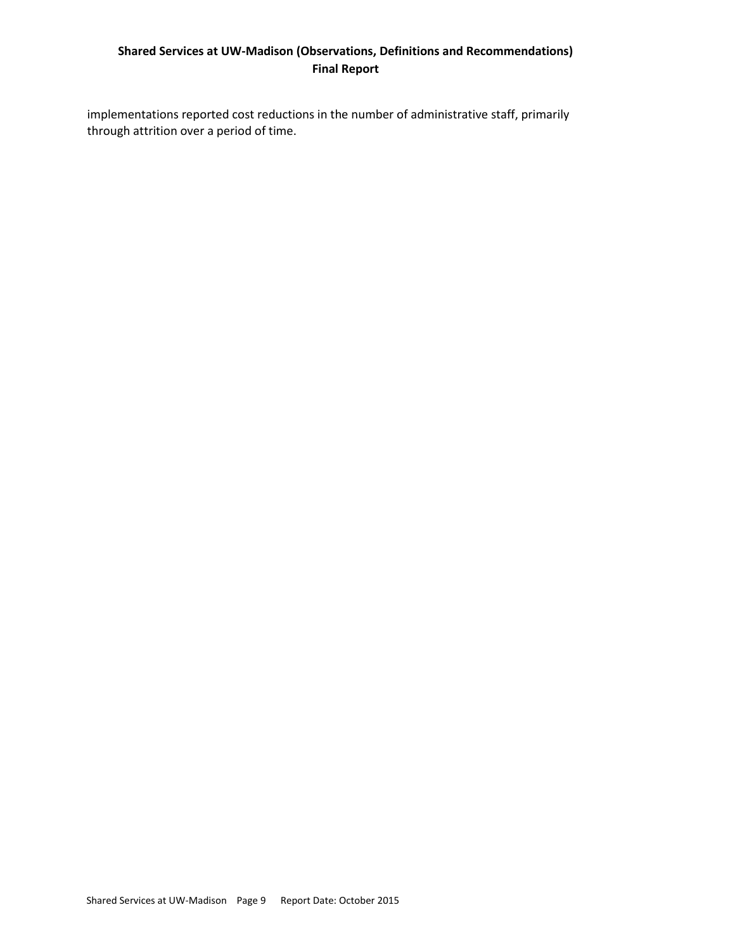implementations reported cost reductions in the number of administrative staff, primarily through attrition over a period of time.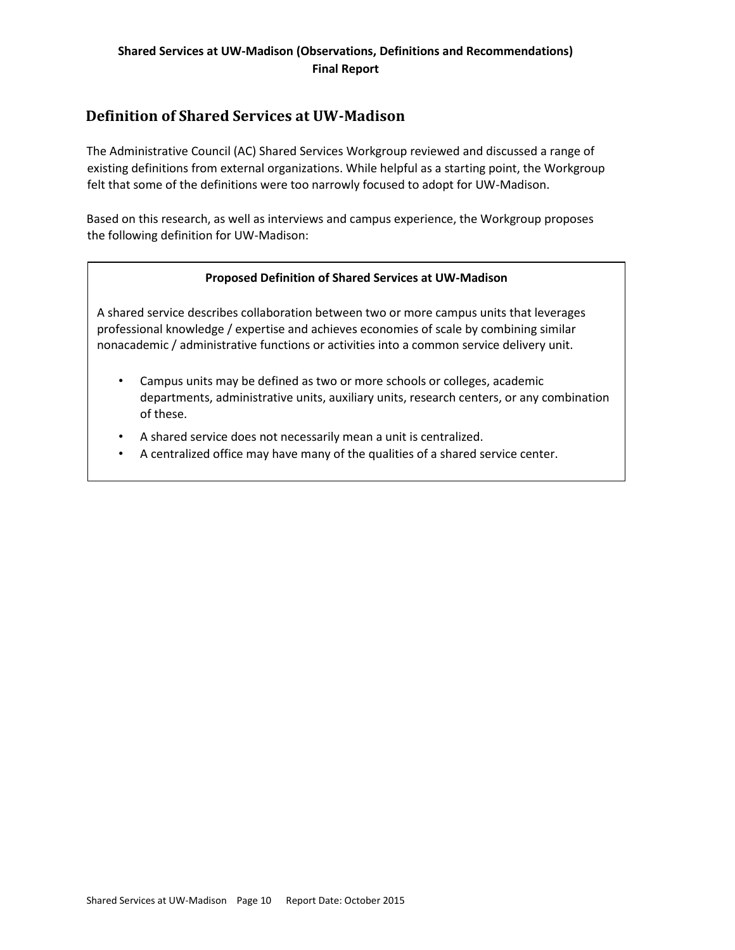## <span id="page-9-0"></span>**Definition of Shared Services at UW-Madison**

The Administrative Council (AC) Shared Services Workgroup reviewed and discussed a range of existing definitions from external organizations. While helpful as a starting point, the Workgroup felt that some of the definitions were too narrowly focused to adopt for UW-Madison.

Based on this research, as well as interviews and campus experience, the Workgroup proposes the following definition for UW-Madison:

#### **Proposed Definition of Shared Services at UW-Madison**

A shared service describes collaboration between two or more campus units that leverages professional knowledge / expertise and achieves economies of scale by combining similar nonacademic / administrative functions or activities into a common service delivery unit.

- Campus units may be defined as two or more schools or colleges, academic departments, administrative units, auxiliary units, research centers, or any combination of these.
- A shared service does not necessarily mean a unit is centralized.
- A centralized office may have many of the qualities of a shared service center.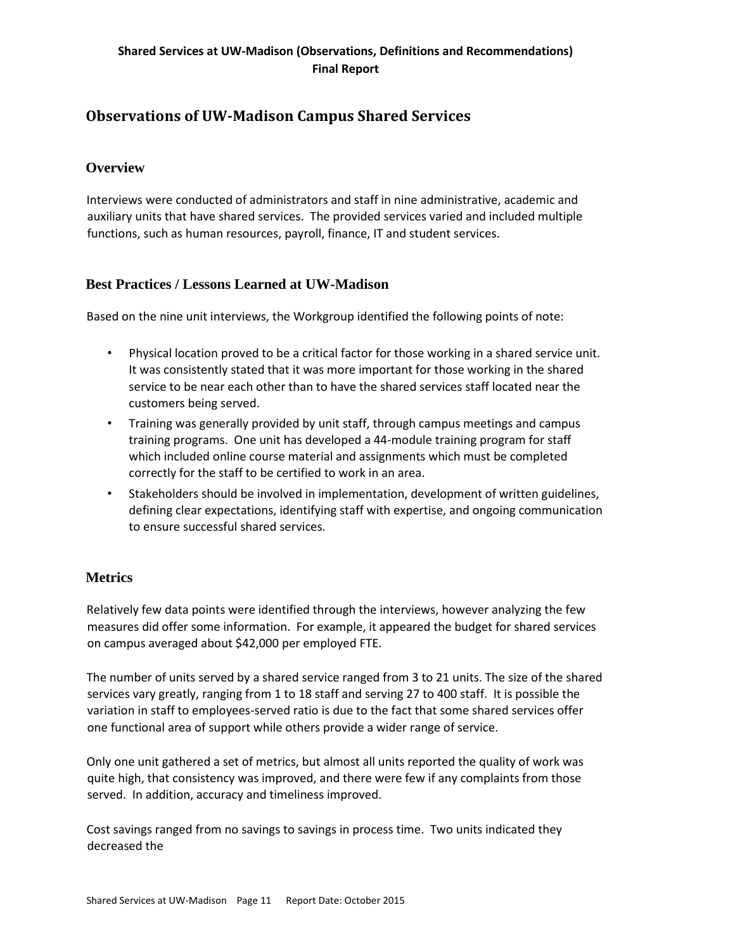## <span id="page-10-0"></span>**Observations of UW-Madison Campus Shared Services**

## <span id="page-10-1"></span>**Overview**

Interviews were conducted of administrators and staff in nine administrative, academic and auxiliary units that have shared services. The provided services varied and included multiple functions, such as human resources, payroll, finance, IT and student services.

## <span id="page-10-2"></span>**Best Practices / Lessons Learned at UW-Madison**

Based on the nine unit interviews, the Workgroup identified the following points of note:

- Physical location proved to be a critical factor for those working in a shared service unit. It was consistently stated that it was more important for those working in the shared service to be near each other than to have the shared services staff located near the customers being served.
- Training was generally provided by unit staff, through campus meetings and campus training programs. One unit has developed a 44-module training program for staff which included online course material and assignments which must be completed correctly for the staff to be certified to work in an area.
- Stakeholders should be involved in implementation, development of written guidelines, defining clear expectations, identifying staff with expertise, and ongoing communication to ensure successful shared services.

## <span id="page-10-3"></span>**Metrics**

Relatively few data points were identified through the interviews, however analyzing the few measures did offer some information. For example, it appeared the budget for shared services on campus averaged about \$42,000 per employed FTE.

The number of units served by a shared service ranged from 3 to 21 units. The size of the shared services vary greatly, ranging from 1 to 18 staff and serving 27 to 400 staff. It is possible the variation in staff to employees-served ratio is due to the fact that some shared services offer one functional area of support while others provide a wider range of service.

Only one unit gathered a set of metrics, but almost all units reported the quality of work was quite high, that consistency was improved, and there were few if any complaints from those served. In addition, accuracy and timeliness improved.

Cost savings ranged from no savings to savings in process time. Two units indicated they decreased the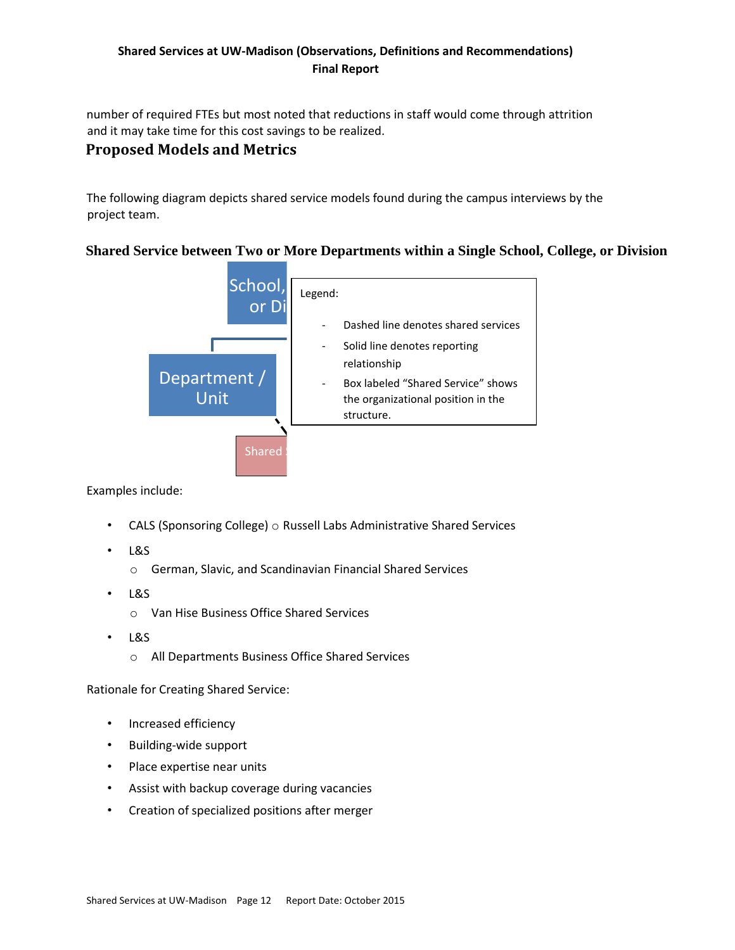number of required FTEs but most noted that reductions in staff would come through attrition and it may take time for this cost savings to be realized.

## <span id="page-11-0"></span>**Proposed Models and Metrics**

The following diagram depicts shared service models found during the campus interviews by the project team.

## <span id="page-11-1"></span>**Shared Service between Two or More Departments within a Single School, College, or Division**



Examples include:

- CALS (Sponsoring College)  $\circ$  Russell Labs Administrative Shared Services
- L&S
	- o German, Slavic, and Scandinavian Financial Shared Services
- L&S
	- o Van Hise Business Office Shared Services
- L&S
	- o All Departments Business Office Shared Services

Rationale for Creating Shared Service:

- Increased efficiency
- Building-wide support
- Place expertise near units
- Assist with backup coverage during vacancies
- Creation of specialized positions after merger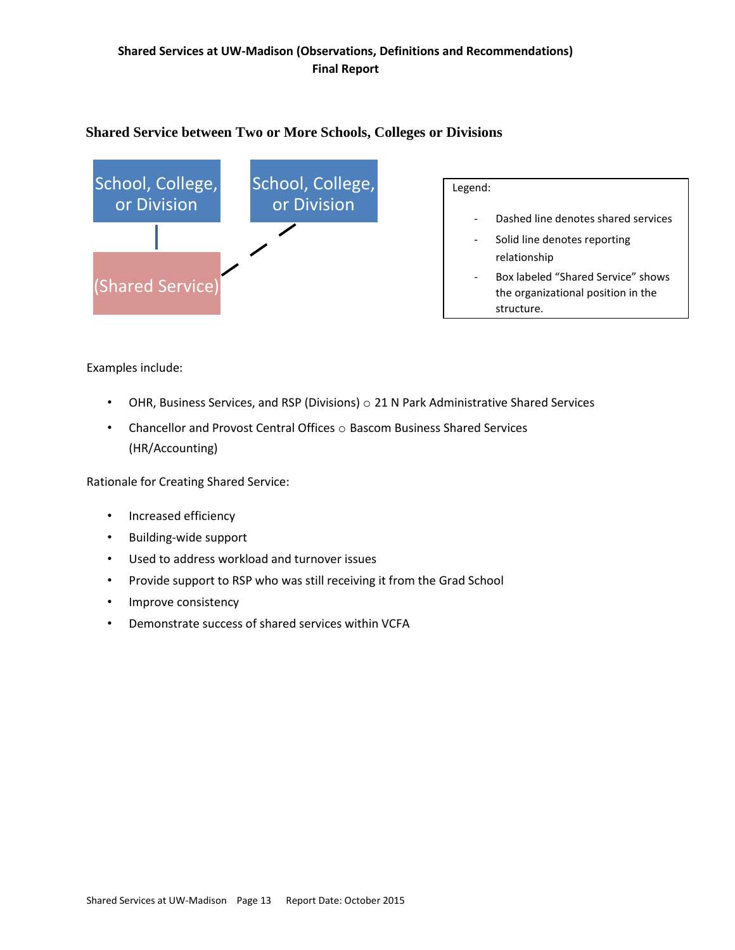## <span id="page-12-0"></span>**Shared Service between Two or More Schools, Colleges or Divisions**



#### Examples include:

- OHR, Business Services, and RSP (Divisions) o 21 N Park Administrative Shared Services
- Chancellor and Provost Central Offices  $\circ$  Bascom Business Shared Services (HR/Accounting)

Rationale for Creating Shared Service:

- Increased efficiency
- Building-wide support
- Used to address workload and turnover issues
- Provide support to RSP who was still receiving it from the Grad School
- Improve consistency
- Demonstrate success of shared services within VCFA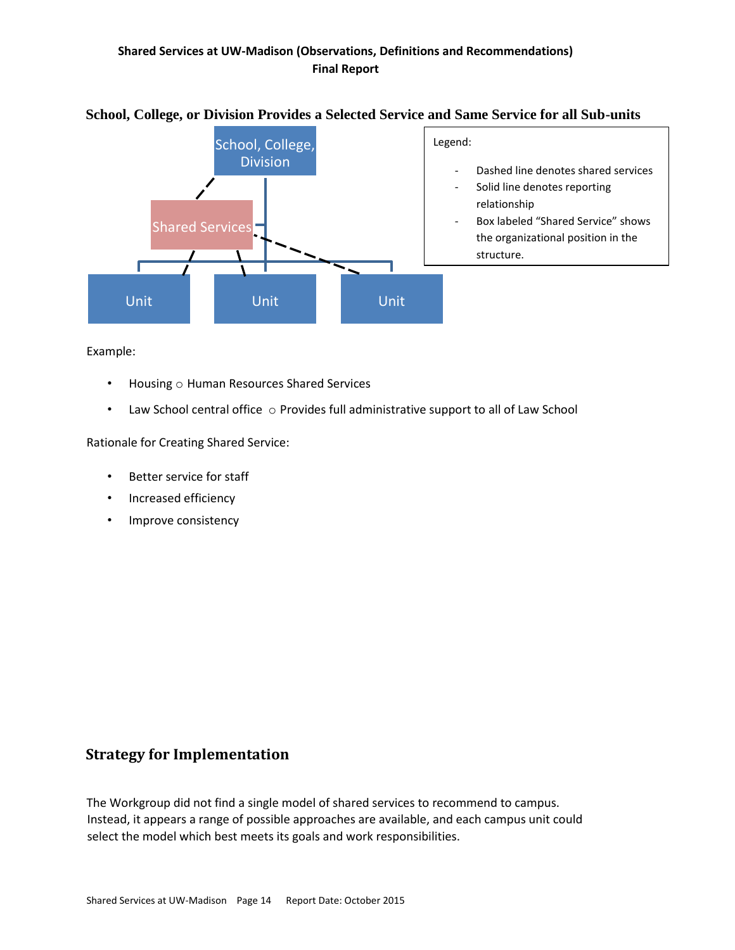

## <span id="page-13-0"></span>**School, College, or Division Provides a Selected Service and Same Service for all Sub-units**

Example:

- Housing o Human Resources Shared Services
- Law School central office  $\circ$  Provides full administrative support to all of Law School

Rationale for Creating Shared Service:

- Better service for staff
- Increased efficiency
- Improve consistency

## <span id="page-13-1"></span>**Strategy for Implementation**

The Workgroup did not find a single model of shared services to recommend to campus. Instead, it appears a range of possible approaches are available, and each campus unit could select the model which best meets its goals and work responsibilities.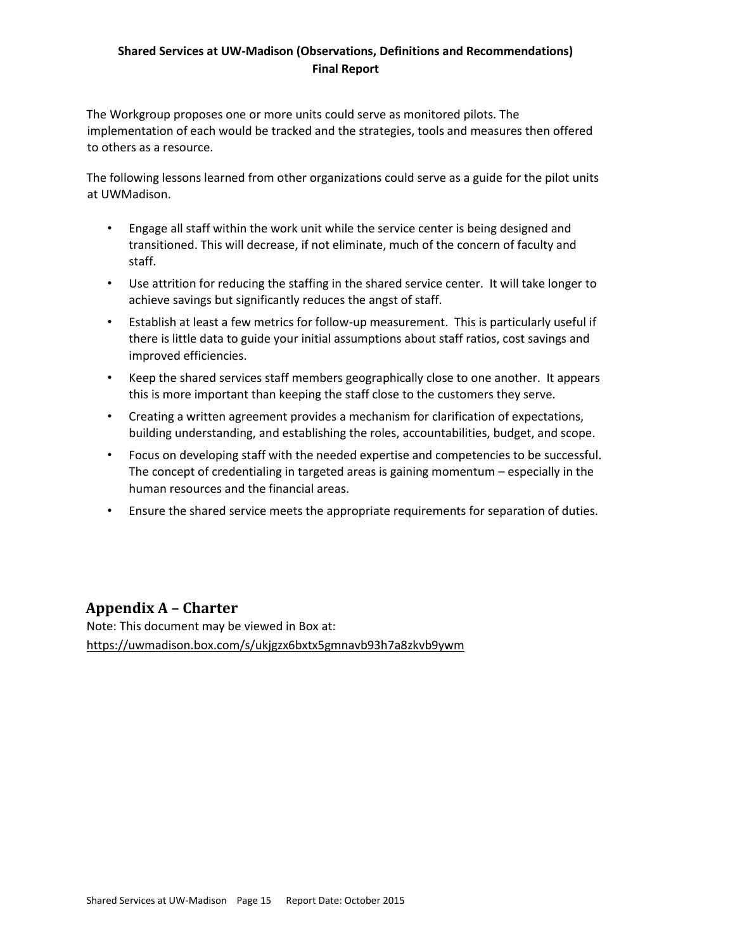The Workgroup proposes one or more units could serve as monitored pilots. The implementation of each would be tracked and the strategies, tools and measures then offered to others as a resource.

The following lessons learned from other organizations could serve as a guide for the pilot units at UWMadison.

- Engage all staff within the work unit while the service center is being designed and transitioned. This will decrease, if not eliminate, much of the concern of faculty and staff.
- Use attrition for reducing the staffing in the shared service center. It will take longer to achieve savings but significantly reduces the angst of staff.
- Establish at least a few metrics for follow-up measurement. This is particularly useful if there is little data to guide your initial assumptions about staff ratios, cost savings and improved efficiencies.
- Keep the shared services staff members geographically close to one another. It appears this is more important than keeping the staff close to the customers they serve.
- Creating a written agreement provides a mechanism for clarification of expectations, building understanding, and establishing the roles, accountabilities, budget, and scope.
- Focus on developing staff with the needed expertise and competencies to be successful. The concept of credentialing in targeted areas is gaining momentum – especially in the human resources and the financial areas.
- Ensure the shared service meets the appropriate requirements for separation of duties.

## <span id="page-14-0"></span>**Appendix A – Charter**

Note: This document may be viewed in Box at: <https://uwmadison.box.com/s/ukjgzx6bxtx5gmnavb93h7a8zkvb9ywm>